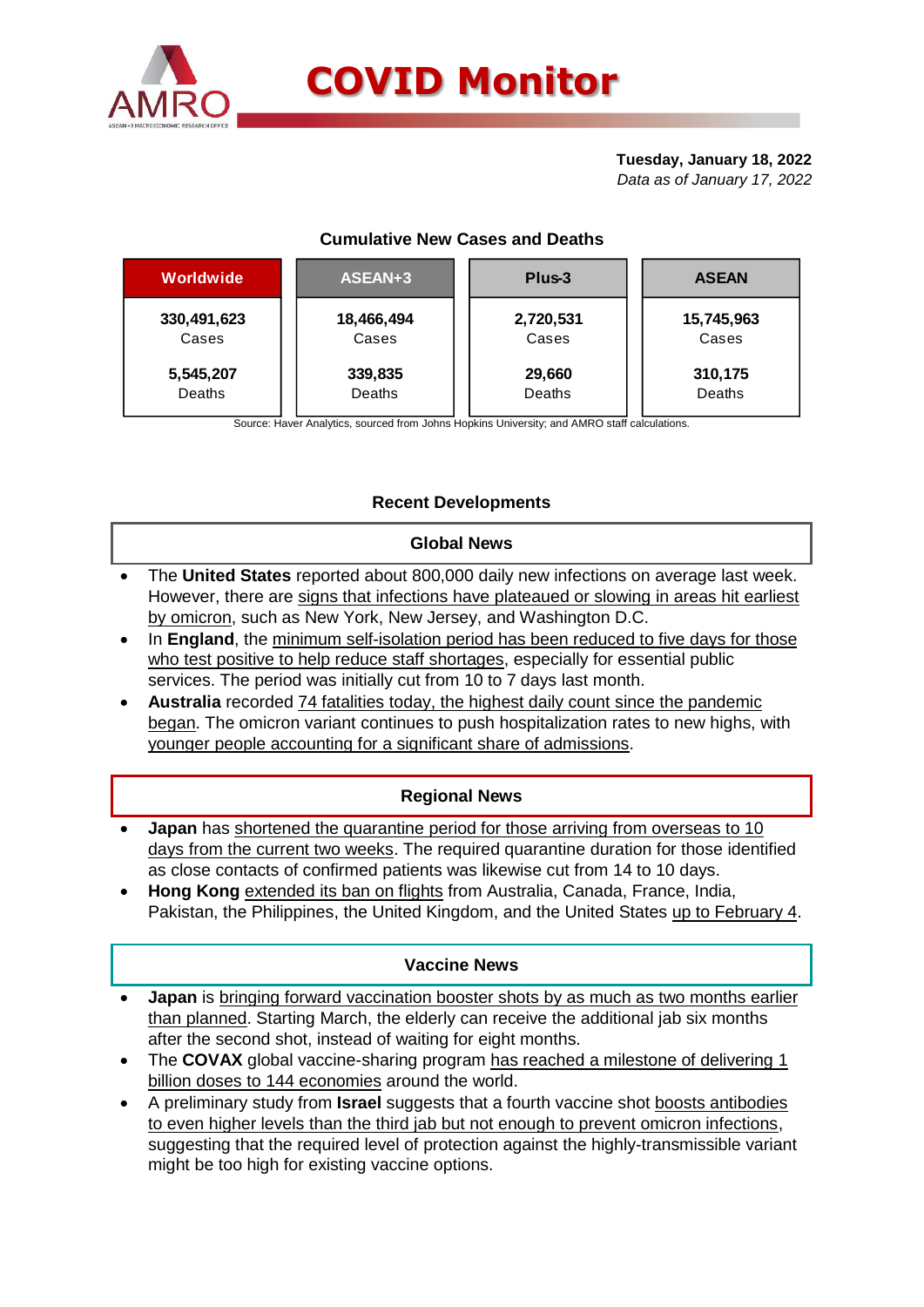

#### **Tuesday, January 18, 2022** *Data as of January 17, 2022*

## **Cumulative New Cases and Deaths**

| Worldwide   | ASEAN+3    | Plus-3    | <b>ASEAN</b> |  |  |
|-------------|------------|-----------|--------------|--|--|
| 330,491,623 | 18,466,494 | 2,720,531 | 15,745,963   |  |  |
| Cases       | Cases      | Cases     | Cases        |  |  |
| 5,545,207   | 339,835    | 29,660    | 310,175      |  |  |
| Deaths      | Deaths     | Deaths    | Deaths       |  |  |

Source: Haver Analytics, sourced from Johns Hopkins University; and AMRO staff calculations.

# **Recent Developments**

#### **Global News**

- The **United States** reported about 800,000 daily new infections on average last week. However, there are signs that infections have plateaued or slowing in areas hit earliest by omicron, such as New York, New Jersey, and Washington D.C.
- In **England**, the minimum self-isolation period has been reduced to five days for those who test positive to help reduce staff shortages, especially for essential public services. The period was initially cut from 10 to 7 days last month.
- **Australia** recorded 74 fatalities today, the highest daily count since the pandemic began. The omicron variant continues to push hospitalization rates to new highs. with younger people accounting for a significant share of admissions.

## **Regional News**

- **Japan** has shortened the quarantine period for those arriving from overseas to 10 days from the current two weeks. The required quarantine duration for those identified as close contacts of confirmed patients was likewise cut from 14 to 10 days.
- **Hong Kong** extended its ban on flights from Australia, Canada, France, India, Pakistan, the Philippines, the United Kingdom, and the United States up to February 4.

#### **Vaccine News**

- **Japan** is bringing forward vaccination booster shots by as much as two months earlier than planned. Starting March, the elderly can receive the additional jab six months after the second shot, instead of waiting for eight months.
- The **COVAX** global vaccine-sharing program has reached a milestone of delivering 1 billion doses to 144 economies around the world.
- A preliminary study from **Israel** suggests that a fourth vaccine shot boosts antibodies to even higher levels than the third jab but not enough to prevent omicron infections, suggesting that the required level of protection against the highly-transmissible variant might be too high for existing vaccine options.